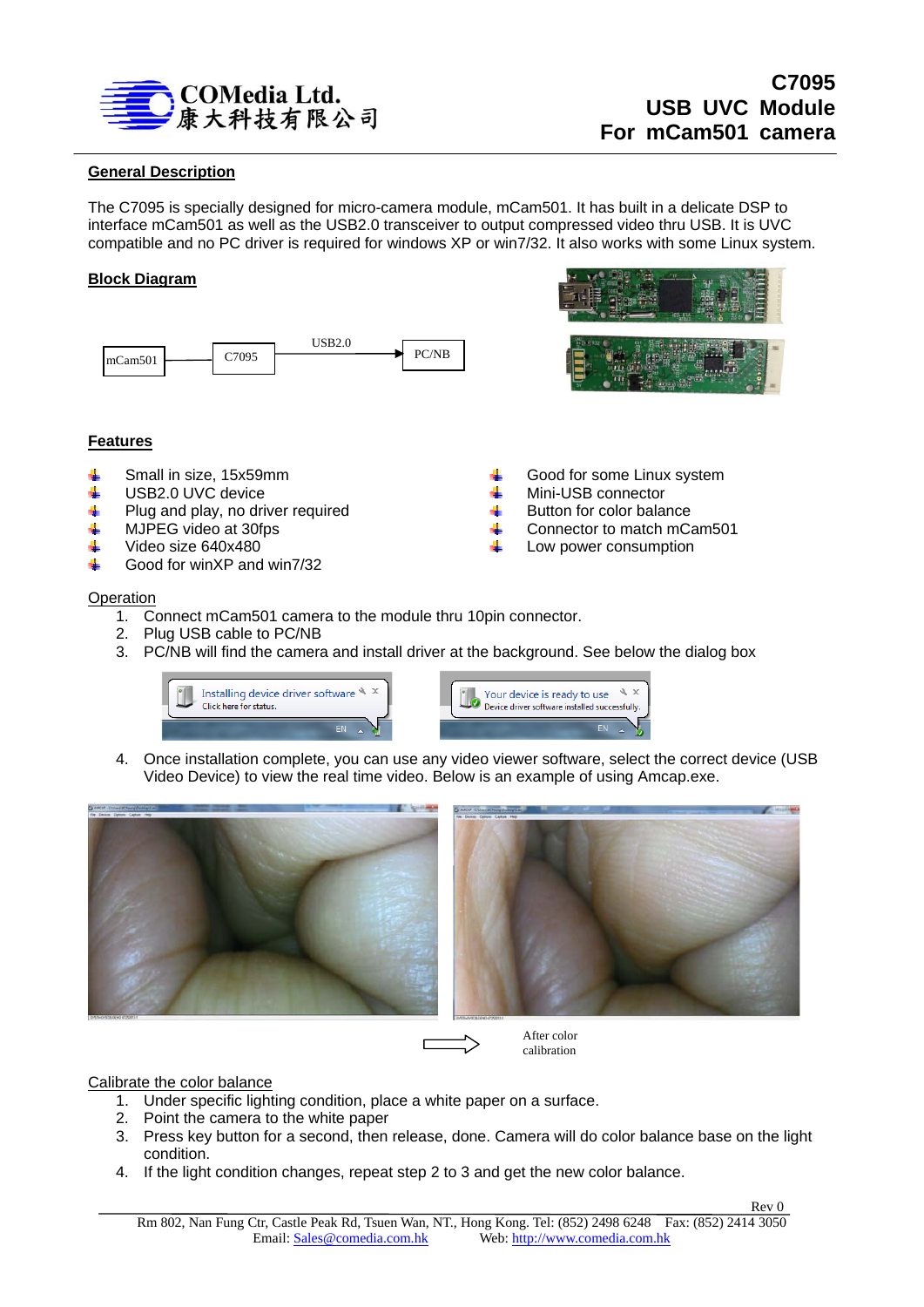

# **General Description**

The C7095 is specially designed for micro-camera module, mCam501. It has built in a delicate DSP to interface mCam501 as well as the USB2.0 transceiver to output compressed video thru USB. It is UVC compatible and no PC driver is required for windows XP or win7/32. It also works with some Linux system.

## **Block Diagram**





Good for some Linux system

Mini-USB connector Button for color balance Connector to match mCam501 Low power consumption

## **Features**

- ÷ Small in size, 15x59mm
- ÷ USB2.0 UVC device
- Plug and play, no driver required 4
- MJPEG video at 30fps 4
- Video size 640x480 ÷
- Good for winXP and win7/32 an.

### **Operation**

- 1. Connect mCam501 camera to the module thru 10pin connector.
- 2. Plug USB cable to PC/NB
- 3. PC/NB will find the camera and install driver at the background. See below the dialog box





4. Once installation complete, you can use any video viewer software, select the correct device (USB Video Device) to view the real time video. Below is an example of using Amcap.exe.



After color calibration

# Calibrate the color balance

- 1. Under specific lighting condition, place a white paper on a surface.
- 2. Point the camera to the white paper
- 3. Press key button for a second, then release, done. Camera will do color balance base on the light condition.
- 4. If the light condition changes, repeat step 2 to 3 and get the new color balance.

**Rev 0 Rev 0**